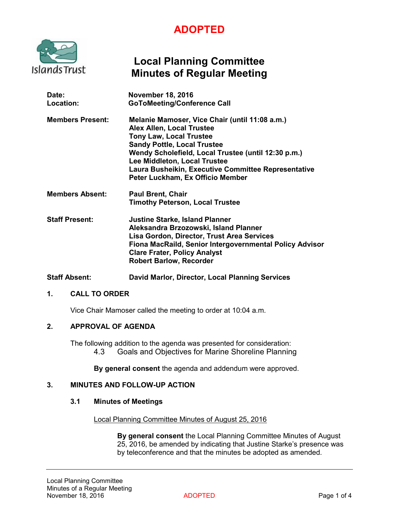# **ADOPTED**



# **Local Planning Committee Minutes of Regular Meeting**

| Date:<br>Location:      | <b>November 18, 2016</b><br><b>GoToMeeting/Conference Call</b>                                                                                                                                                                                                                                                                               |
|-------------------------|----------------------------------------------------------------------------------------------------------------------------------------------------------------------------------------------------------------------------------------------------------------------------------------------------------------------------------------------|
| <b>Members Present:</b> | Melanie Mamoser, Vice Chair (until 11:08 a.m.)<br><b>Alex Allen, Local Trustee</b><br><b>Tony Law, Local Trustee</b><br><b>Sandy Pottle, Local Trustee</b><br>Wendy Scholefield, Local Trustee (until 12:30 p.m.)<br>Lee Middleton, Local Trustee<br>Laura Busheikin, Executive Committee Representative<br>Peter Luckham, Ex Officio Member |
| <b>Members Absent:</b>  | <b>Paul Brent, Chair</b><br><b>Timothy Peterson, Local Trustee</b>                                                                                                                                                                                                                                                                           |
| <b>Staff Present:</b>   | <b>Justine Starke, Island Planner</b><br>Aleksandra Brzozowski, Island Planner<br>Lisa Gordon, Director, Trust Area Services<br>Fiona MacRaild, Senior Intergovernmental Policy Advisor<br><b>Clare Frater, Policy Analyst</b><br><b>Robert Barlow, Recorder</b>                                                                             |

**Staff Absent: David Marlor, Director, Local Planning Services**

### **1. CALL TO ORDER**

Vice Chair Mamoser called the meeting to order at 10:04 a.m.

# **2. APPROVAL OF AGENDA**

The following addition to the agenda was presented for consideration: 4.3 Goals and Objectives for Marine Shoreline Planning

**By general consent** the agenda and addendum were approved.

# **3. MINUTES AND FOLLOW-UP ACTION**

#### **3.1 Minutes of Meetings**

Local Planning Committee Minutes of August 25, 2016

**By general consent** the Local Planning Committee Minutes of August 25, 2016, be amended by indicating that Justine Starke's presence was by teleconference and that the minutes be adopted as amended.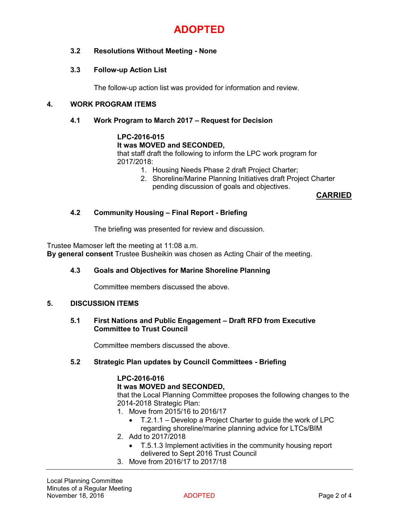

# **3.2 Resolutions Without Meeting - None**

# **3.3 Follow-up Action List**

The follow-up action list was provided for information and review.

# **4. WORK PROGRAM ITEMS**

#### **4.1 Work Program to March 2017 – Request for Decision**

# **LPC-2016-015**

#### **It was MOVED and SECONDED,**

that staff draft the following to inform the LPC work program for 2017/2018:

- 1. Housing Needs Phase 2 draft Project Charter;
- 2. Shoreline/Marine Planning Initiatives draft Project Charter pending discussion of goals and objectives.

**CARRIED**

### **4.2 Community Housing – Final Report - Briefing**

The briefing was presented for review and discussion.

Trustee Mamoser left the meeting at 11:08 a.m.

**By general consent** Trustee Busheikin was chosen as Acting Chair of the meeting.

### **4.3 Goals and Objectives for Marine Shoreline Planning**

Committee members discussed the above.

#### **5. DISCUSSION ITEMS**

#### **5.1 First Nations and Public Engagement – Draft RFD from Executive Committee to Trust Council**

Committee members discussed the above.

# **5.2 Strategic Plan updates by Council Committees - Briefing**

### **LPC-2016-016**

#### **It was MOVED and SECONDED,**

that the Local Planning Committee proposes the following changes to the 2014-2018 Strategic Plan:

- 1. Move from 2015/16 to 2016/17
	- $\bullet$  T.2.1.1 Develop a Project Charter to guide the work of LPC regarding shoreline/marine planning advice for LTCs/BIM
- 2. Add to 2017/2018
	- T.5.1.3 Implement activities in the community housing report delivered to Sept 2016 Trust Council
- 3. Move from 2016/17 to 2017/18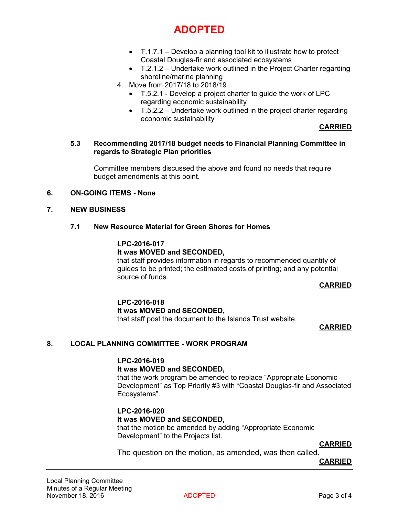# **ADOPTED**

- $\bullet$  T.1.7.1 Develop a planning tool kit to illustrate how to protect Coastal Douglas-fir and associated ecosystems
- T.2.1.2 Undertake work outlined in the Project Charter regarding shoreline/marine planning
- 4. Move from 2017/18 to 2018/19
	- T.5.2.1 Develop a project charter to guide the work of LPC regarding economic sustainability
	- $\bullet$  T.5.2.2 Undertake work outlined in the project charter regarding economic sustainability

### **CARRIED**

#### **5.3 Recommending 2017/18 budget needs to Financial Planning Committee in regards to Strategic Plan priorities**

Committee members discussed the above and found no needs that require budget amendments at this point.

#### **6. ON-GOING ITEMS - None**

#### **7. NEW BUSINESS**

#### **7.1 New Resource Material for Green Shores for Homes**

# **LPC-2016-017 It was MOVED and SECONDED,**

that staff provides information in regards to recommended quantity of guides to be printed; the estimated costs of printing; and any potential source of funds.

### **CARRIED**

### **LPC-2016-018 It was MOVED and SECONDED,** that staff post the document to the Islands Trust website.

### **CARRIED**

### **8. LOCAL PLANNING COMMITTEE - WORK PROGRAM**

#### **LPC-2016-019**

### **It was MOVED and SECONDED,**

that the work program be amended to replace "Appropriate Economic Development" as Top Priority #3 with "Coastal Douglas-fir and Associated Ecosystems".

### **LPC-2016-020**

### **It was MOVED and SECONDED,**

that the motion be amended by adding "Appropriate Economic Development" to the Projects list.

**CARRIED**

The question on the motion, as amended, was then called.

**CARRIED**